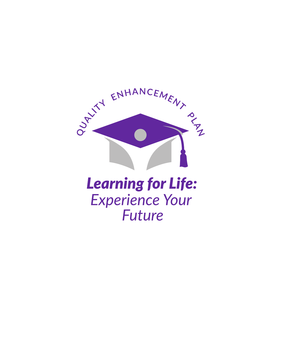

## **Learning for Life: Experience Your Future**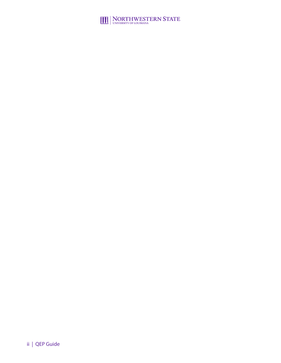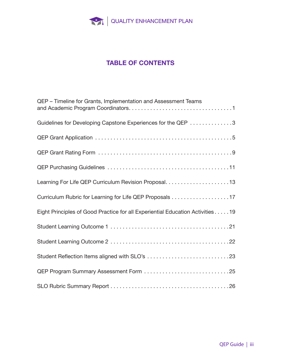

## **TABLE OF CONTENTS**

| QEP - Timeline for Grants, Implementation and Assessment Teams                |
|-------------------------------------------------------------------------------|
| Guidelines for Developing Capstone Experiences for the QEP 3                  |
|                                                                               |
|                                                                               |
|                                                                               |
|                                                                               |
| Curriculum Rubric for Learning for Life QEP Proposals 17                      |
| Eight Principles of Good Practice for all Experiential Education Activities19 |
|                                                                               |
|                                                                               |
|                                                                               |
| QEP Program Summary Assessment Form 25                                        |
|                                                                               |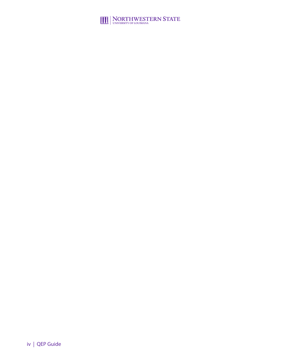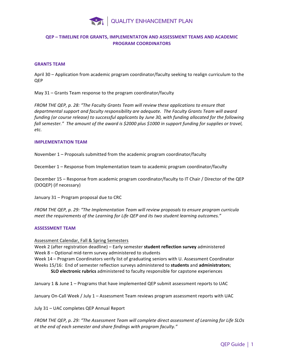

## **QEP – TIMELINE FOR GRANTS, IMPLEMENTATON AND ASSESSMENT TEAMS AND ACADEMIC PROGRAM COORDINATORS**

## **GRANTS TEAM**

April 30 – Application from academic program coordinator/faculty seeking to realign curriculum to the QEP

May 31 – Grants Team response to the program coordinator/faculty

*FROM THE QEP, p. 28: "The Faculty Grants Team will review these applications to ensure that* departmental support and faculty responsibility are adequate. The Faculty Grants Team will award *funding* (or course release) to successful applicants by June 30, with funding allocated for the following fall semester." The amount of the award is \$2000 plus \$1000 in support funding for supplies or travel, *etc.* 

## **IMPLEMENTATION TEAM**

November  $1$  – Proposals submitted from the academic program coordinator/faculty

December 1 – Response from Implementation team to academic program coordinator/faculty

December 15 – Response from academic program coordinator/faculty to IT Chair / Director of the QEP (DOQEP) (if necessary)

January 31 – Program proposal due to CRC

*FROM THE QEP, p. 29: "The Implementation Team will review proposals to ensure program curricula* meet the requirements of the Learning for Life QEP and its two student learning outcomes."

## **ASSESSMENT TEAM**

Assessment Calendar, Fall & Spring Semesters

Week 2 (after registration deadline) - Early semester **student reflection survey** administered Week  $8$  – Optional mid-term survey administered to students

Week 14 – Program Coordinators verify list of graduating seniors with U. Assessment Coordinator Weeks 15/16: End of semester reflection surveys administered to **students** and **administrators**;

**SLO** electronic rubrics administered to faculty responsible for capstone experiences

January 1 & June 1 - Programs that have implemented QEP submit assessment reports to UAC

January On-Call Week / July 1 – Assessment Team reviews program assessment reports with UAC

July 31 - UAC completes QEP Annual Report

*FROM THE QEP, p. 29: "The Assessment Team will complete direct assessment of Learning for Life SLOs* at the end of each semester and share findings with program faculty."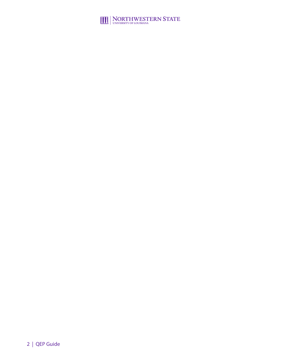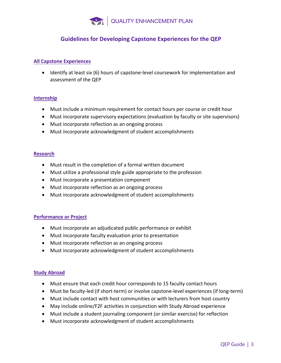

## **Guidelines for Developing Capstone Experiences for the QEP**

## **All Capstone Experiences**

• Identify at least six (6) hours of capstone-level coursework for implementation and assessment of the QEP

## **Internship**

- Must include a minimum requirement for contact hours per course or credit hour
- Must incorporate supervisory expectations (evaluation by faculty or site supervisors)
- Must incorporate reflection as an ongoing process
- Must incorporate acknowledgment of student accomplishments

## **Research**

- Must result in the completion of a formal written document
- Must utilize a professional style guide appropriate to the profession
- Must incorporate a presentation component
- Must incorporate reflection as an ongoing process
- Must incorporate acknowledgment of student accomplishments

## **Performance or Project**

- Must incorporate an adjudicated public performance or exhibit
- Must incorporate faculty evaluation prior to presentation
- Must incorporate reflection as an ongoing process
- Must incorporate acknowledgment of student accomplishments

## **Study Abroad**

- Must ensure that each credit hour corresponds to 15 faculty contact hours
- Must be faculty-led (if short-term) or involve capstone-level experiences (if long-term)
- Must include contact with host communities or with lecturers from host country
- May include online/F2F activities in conjunction with Study Abroad experience
- Must include a student journaling component (or similar exercise) for reflection
- Must incorporate acknowledgment of student accomplishments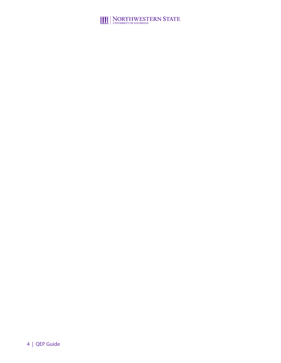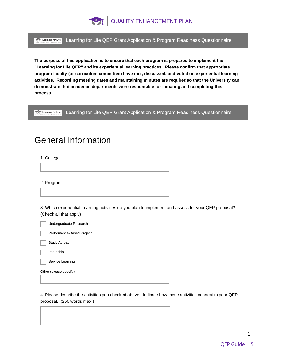

Learning for Life Learning for Life QEP Grant Application & Program Readiness Questionnaire

**The purpose of this application is to ensure that each program is prepared to implement the "Learning for Life QEP" and its experiential learning practices. Please confirm that appropriate program faculty (or curriculum committee) have met, discussed, and voted on experiential learning activities. Recording meeting dates and maintaining minutes are requiredso that the University can demonstrate that academic departments were responsible for initiating and completing this process.**

Learning for Life Learning for Life QEP Grant Application & Program Readiness Questionnaire

## General Information

1. College

2. Program

3. Which experiential Learning activities do you plan to implement and assess for your QEP proposal? (Check all that apply)

| Undergraduate Research    |
|---------------------------|
| Performance-Based Project |
| Study Abroad              |
| Internship                |
| Service Learning          |
| Other (please specify)    |
|                           |

4. Please describe the activities you checked above. Indicate how these activities connect to your QEP proposal. (250 words max.)

1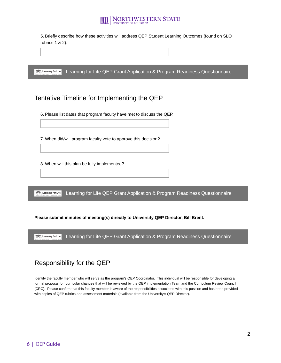

5. Briefly describe how these activities will address QEP Student Learning Outcomes (found on SLO rubrics 1 & 2).

Learning for Life Learning for Life QEP Grant Application & Program Readiness Questionnaire

## Tentative Timeline for Implementing the QEP

6. Please list dates that program faculty have met to discuss the QEP.

7. When did/will program faculty vote to approve this decision?

8. When will this plan be fully implemented?

Learning for Life Learning for Life QEP Grant Application & Program Readiness Questionnaire

## **Please submit minutes of meeting(s) directly to University QEP Director, Bill Brent.**

Learning for Life QEP Grant Application & Program Readiness Questionnaire Learning for Life

## Responsibility for the QEP

Identify the faculty member who will serve as the program's QEP Coordinator. This individual will be responsible for developing a formal proposal for curricular changes that will be reviewed by the QEP implementation Team and the Curriculum Review Council (CRC). Please confirm that this faculty member is aware of the responsibilities associated with this position and has been provided with copies of QEP rubrics and assessment materials (available from the University's QEP Director).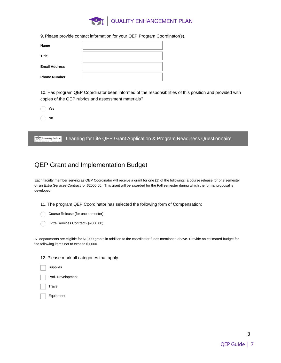

9. Please provide contact information for your QEP Program Coordinator(s).

| <b>Name</b>          |  |
|----------------------|--|
| <b>Title</b>         |  |
| <b>Email Address</b> |  |
| <b>Phone Number</b>  |  |

10. Has program QEP Coordinator been informed of the responsibilities of this position and provided with copies of the QEP rubrics and assessment materials?

| Yes |  |
|-----|--|
| No  |  |

Learning for Life Learning for Life QEP Grant Application & Program Readiness Questionnaire

## QEP Grant and Implementation Budget

Each faculty member serving as QEP Coordinator will receive a grant for one (1) of the following: a course release for one semester **or** an Extra Services Contract for \$2000.00. This grant will be awarded for the Fall semester during which the formal proposal is developed.

11. The program QEP Coordinator has selected the following form of Compensation:

Course Release (for one semester)

Extra Services Contract (\$2000.00)

All departments are eligible for \$1,000 grants in addition to the coordinator funds mentioned above. Provide an estimated budget for the following items not to exceed \$1,000.

12. Please mark all categories that apply.

|  | Supplies |
|--|----------|
|--|----------|

Prof. Development

| - 7<br>×<br>۰,<br>× |
|---------------------|
|---------------------|

Equipment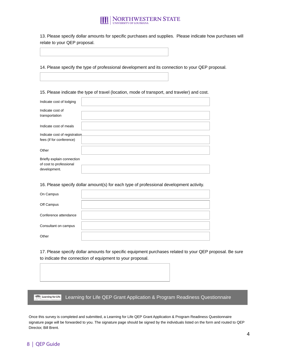

13. Please specify dollar amounts for specific purchases and supplies. Please indicate how purchases will relate to your QEP proposal.

14. Please specify the type of professional development and its connection to your QEP proposal.

15. Please indicate the type of travel (location, mode of transport, and traveler) and cost.

| Indicate cost of lodging           |  |
|------------------------------------|--|
| Indicate cost of<br>transportation |  |
| Indicate cost of meals             |  |
| Indicate cost of registration      |  |
| fees (if for conference)           |  |
| Other                              |  |
| Briefly explain connection         |  |
| of cost to professional            |  |
| development.                       |  |

16. Please specify dollar amount(s) for each type of professional development activity.

| On Campus             |  |
|-----------------------|--|
|                       |  |
| Off Campus            |  |
|                       |  |
| Conference attendance |  |
|                       |  |
| Consultant on campus  |  |
|                       |  |
| Other                 |  |
|                       |  |

17. Please specify dollar amounts for specific equipment purchases related to your QEP proposal. Be sure to indicate the connection of equipment to your proposal.

Learning for Life Learning for Life QEP Grant Application & Program Readiness Questionnaire

Once this survey is completed and submitted, a Learning for Life QEP Grant Application & Program Readiness Questionnaire signature page will be forwarded to you. The signature page should be signed by the individuals listed on the form and routed to QEP Director, Bill Brent.

## 8 | QEP Guide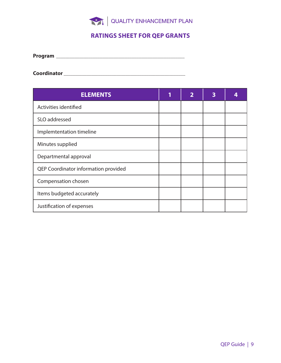

## **RATINGS SHEET FOR QEP GRANTS**

**Program \_\_\_\_\_\_\_\_\_\_\_\_\_\_\_\_\_\_\_\_\_\_\_\_\_\_\_\_\_\_\_\_\_\_\_\_\_\_\_\_\_\_\_\_\_\_\_\_\_\_\_\_\_\_\_\_**

**Coordinator \_\_\_\_\_\_\_\_\_\_\_\_\_\_\_\_\_\_\_\_\_\_\_\_\_\_\_\_\_\_\_\_\_\_\_\_\_\_\_\_\_\_\_\_\_\_\_\_\_\_\_\_\_**

| <b>ELEMENTS</b>                      | $\overline{2}$ | 3 |  |
|--------------------------------------|----------------|---|--|
| Activities identified                |                |   |  |
| SLO addressed                        |                |   |  |
| Implemtentation timeline             |                |   |  |
| Minutes supplied                     |                |   |  |
| Departmental approval                |                |   |  |
| QEP Coordinator information provided |                |   |  |
| Compensation chosen                  |                |   |  |
| Items budgeted accurately            |                |   |  |
| Justification of expenses            |                |   |  |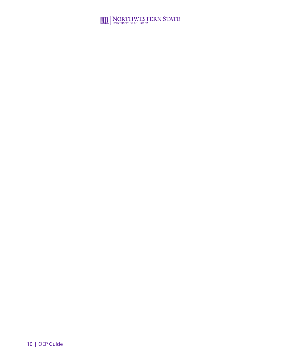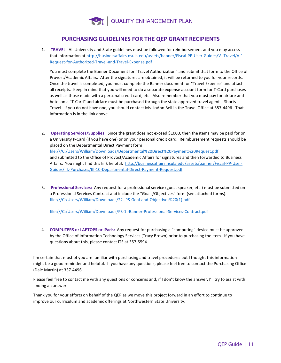

## **PURCHASING GUIDELINES FOR THE QEP GRANT RECIPIENTS**

1. **TRAVEL:** All University and State guidelines must be followed for reimbursement and you may access that information at http://businessaffairs.nsula.edu/assets/banner/Fiscal-PP-User-Guides/V.-Travel/V-1-Request-for-Authorized-Travel-and-Travel-Expense.pdf

You must complete the Banner Document for "Travel Authorization" and submit that form to the Office of Provost/Academic Affairs. After the signatures are obtained, it will be returned to you for your records. Once the travel is completed, you must complete the Banner document for "Travel Expense" and attach all receipts. Keep in mind that you will need to do a separate expense account form for T-Card purchases as well as those made with a personal credit card, etc. Also remember that you must pay for airfare and hotel on a "T-Card" and airfare must be purchased through the state approved travel agent – Shorts Travel. If you do not have one, you should contact Ms. JoAnn Bell in the Travel Office at 357-4496. That information is in the link above.

- 2. Operating Services/Supplies: Since the grant does not exceed \$1000, then the items may be paid for on a University P-Card (if you have one) or on your personal credit card. Reimbursement requests should be placed on the Departmental Direct Payment form file:///C:/Users/William/Downloads/Departmental%20Direct%20Payment%20Request.pdf and submitted to the Office of Provost/Academic Affairs for signatures and then forwarded to Business Affairs. You might find this link helpful: http://businessaffairs.nsula.edu/assets/banner/Fiscal-PP-User-Guides/III.-Purchases/III-10-Departmental-Direct-Payment-Request.pdf
- 3. **Professional Services:** Any request for a professional service (guest speaker, etc.) must be submitted on a Professional Services Contract and include the "Goals/Objectives" form (see attached forms). file:///C:/Users/William/Downloads/22.-PS-Goal-and-Objectives%20(1).pdf

file:///C:/Users/William/Downloads/PS-1.-Banner-Professional-Services-Contract.pdf

4. **COMPUTERS or LAPTOPS or iPads:** Any request for purchasing a "computing" device must be approved by the Office of Information Technology Services (Tracy Brown) prior to purchasing the item. If you have questions about this, please contact ITS at 357-5594.

I'm certain that most of you are familiar with purchasing and travel procedures but I thought this information might be a good reminder and helpful. If you have any questions, please feel free to contact the Purchasing Office (Dale Martin) at 357-4496

Please feel free to contact me with any questions or concerns and, if I don't know the answer, I'll try to assist with finding an answer.

Thank you for your efforts on behalf of the QEP as we move this project forward in an effort to continue to improve our curriculum and academic offerings at Northwestern State University.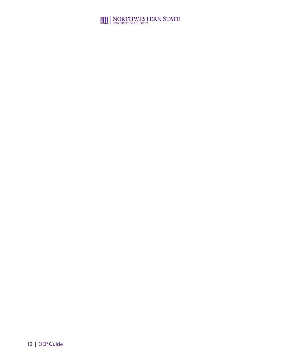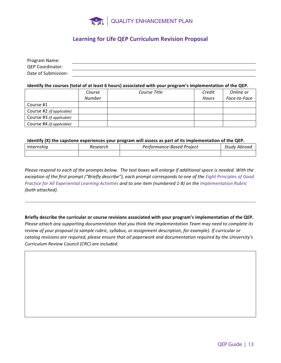

## **Learning for Life QEP Curriculum Revision Proposal**

| Program Name:           |  |
|-------------------------|--|
| <b>QEP Coordinator:</b> |  |
| Date of Submission:     |  |

## **Identify the courses (total of at least 6 hours) associated with your program's implementation of the QEP.**

|                           | Course        | Course Title | Credit | Online or    |
|---------------------------|---------------|--------------|--------|--------------|
|                           | <b>Number</b> |              | Hours  | Face-to-Face |
| Course #1                 |               |              |        |              |
| Course #2 (if applicable) |               |              |        |              |
| Course #3 (if applicable) |               |              |        |              |
| Course #4 (if applicable) |               |              |        |              |

## **Identify** (X) the capstone experiences your program will assess as part of its implementation of the QEP.

| Intornchin | $\sim$ $\sim$ $\sim$ $\sim$ $\sim$ | Project          | Abroad  |
|------------|------------------------------------|------------------|---------|
|            | . . CSCUILII                       | ، ormance-Based+ | : cudvٽ |
|            |                                    |                  |         |

*Please respond to each of the prompts below. The text boxes will enlarge if additional space is needed. With the exception* of the first prompt ("Briefly describe"), each prompt corresponds to one of the Eight Principles of Good *Practice for All Experiential Learning Activities and to one item (numbered 1-8) on the Implementation Rubric (both attached)*.

Briefly describe the curricular or course revisions associated with your program's implementation of the QEP. *Please attach any supporting documentation that you think the Implementation Team may need to complete its* review of your proposal (a sample rubric, syllabus, or assignment description, for example). If curricular or *catalog* revisions are required, please ensure that all paperwork and documentation required by the University's *Curriculum Review Council (CRC) are included.*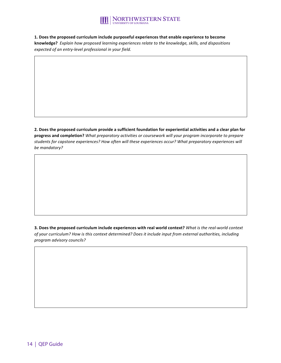

## 1. Does the proposed curriculum include purposeful experiences that enable experience to become knowledge? Explain how proposed learning experiences relate to the knowledge, skills, and dispositions expected of an entry-level professional in your field.

2. Does the proposed curriculum provide a sufficient foundation for experiential activities and a clear plan for progress and completion? What preparatory activities or coursework will your program incorporate to prepare students for capstone experiences? How often will these experiences occur? What preparatory experiences will be *mandatory*?

**3.** Does the proposed curriculum include experiences with real world context? What is the real-world context of your curriculum? How is this context determined? Does it include input from external authorities, including *program advisory councils?*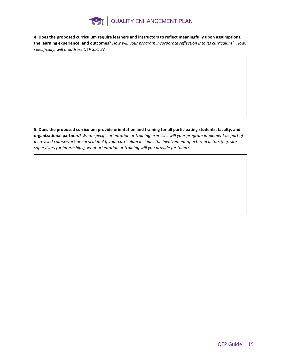

**4. Does the proposed curriculum require learners and instructors to reflect meaningfully upon assumptions,** the learning experience, and outcomes? *How will your program incorporate reflection into its curriculum? How,* specifically, will it address QEP SLO 2?

5. Does the proposed curriculum provide orientation and training for all participating students, faculty, and organizational partners? What specific orientation or training exercises will your program implement as part of *its revised coursework or curriculum? If your curriculum includes the involvement of external actors (e.g. site* supervisors for internships), what orientation or training will you provide for them?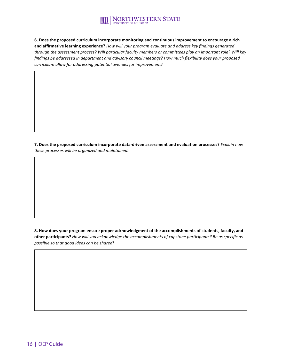

6. Does the proposed curriculum incorporate monitoring and continuous improvement to encourage a rich and affirmative learning experience? How will your program evaluate and address key findings generated through the assessment process? Will particular faculty members or committees play an important role? Will key findings be addressed in department and advisory council meetings? How much flexibility does your proposed *curriculum allow for addressing potential avenues for improvement?*

**7.** Does the proposed curriculum incorporate data-driven assessment and evaluation processes? *Explain how these processes will be organized and maintained.*

8. How does your program ensure proper acknowledgment of the accomplishments of students, faculty, and other participants? How will you acknowledge the accomplishments of capstone participants? Be as specific as *possible so that good ideas can be shared!*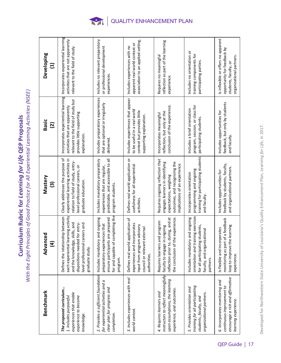With the Eight Principles of Good Practice for All Experiential Learning Activities (NSEE) *With the Eight Principles of Good Practice for All Experiential Learning Activities (NSEE)* Curriculum Rubric for Learning for Life QEP Proposals **Curriculum Rubric for** *Learning for Life* **QEP Proposals**

| Benchmark                                                                                                                      | Advanced<br><u>र्व</u>                                                                                                                                                                                 | Mastery<br>$\widehat{\mathbf{e}}$                                                                                                                                      | <b>Basic</b><br>$\overline{c}$                                                                                                                           | Developing<br>$\Xi$                                                                                                     |
|--------------------------------------------------------------------------------------------------------------------------------|--------------------------------------------------------------------------------------------------------------------------------------------------------------------------------------------------------|------------------------------------------------------------------------------------------------------------------------------------------------------------------------|----------------------------------------------------------------------------------------------------------------------------------------------------------|-------------------------------------------------------------------------------------------------------------------------|
| The proposed curriculum<br>experiences that enable<br>experience to become<br>1. Includes purposeful<br>knowledge.             | Defines the relationship between<br>learning activity<br>dispositions needed for entry-<br>and the knowledge, skills, and<br>careers and<br>level professional<br>each experiential<br>graduate study. | Clearly addresses the purpose of<br>experiential learning activities in<br>relation to field of study, entry-<br>level professional careers, or<br>graduate education. | Incorporates experiential learning<br>relevant to the field of study but<br>activities that are apparently<br>provides little supporting<br>explanation. | Incorporates experiential learning<br>activities that are not apparently<br>relevant to the field of study.             |
| 2. Provides a sufficient foundation<br>for experiential activities and a<br>clear plan for progress and<br>completion.         | completing the<br>Includes mandatory and ongoing<br>ts are prepared<br>preparatory experiences that<br>ensure participant<br>for and capable of<br>program.                                            | Includes mandatory preparatory<br>predictable, and accessible to all<br>experiences that are regular,<br>program students.                                             | Includes preparatory experiences<br>that are optional or irregularly<br>delivered                                                                        | Includes no relevant preparatory<br>or professional development<br>experiences.                                         |
| 3. Includes experiences with real<br>world context.                                                                            | Defines real world application of<br>experiences and incorporates<br>input from program advisory<br>council or relevant external<br>authorities.                                                       | Defines real world application or<br>usefulness for all experiential<br>activities.                                                                                    | Includes experiences that appear<br>to be useful in a real world<br>context but provides little<br>supporting explanation.                               | association to an applied setting.<br>apparent real world context or<br>Includes experiences with no                    |
| instructors to reflect meaningfully<br>upon assumptions, the learning<br>experience, and outcomes.<br>4. Requires learners and | the experience.<br>reflection prior to, during, and at<br>and program<br>faculty to engage in ongoing<br>Requires learners<br>the conclusion of                                                        | Requires ongoing reflection that<br>outcomes, and recognizing the<br>engages learners in identifying<br>mplications of an experience.<br>expectations, weighing        | conclusion of the experience.<br>reflection, but only at the<br>Incorporates meaningful                                                                  | reflection as part of the learning<br>Requires no meaningful<br>experience.                                             |
| training for all participating<br>5. Provides orientation and<br>organizational partners.<br>students, faculty, and            | orientation and training exercises<br>Includes mandatory and ongoing<br>for all participating students,<br>faculty, and organizational<br>partners.                                                    | training for participating students<br>programming and ongoing<br>Incorporates orientation<br>and faculty.                                                             | program, session, or class for<br>Includes a brief orientation<br>participating students.                                                                | Includes no orientation or<br>training components for<br>participating parties.                                         |
| encourage a rich and affirmative<br>6. Incorporates monitoring and<br>continuous improvement to<br>learning experience.        | monitoring as part of a feedback<br>loop to improve the learning<br>Is flexible and incorporates<br>experience.                                                                                        | feedback by students, faculty,<br>and organizational partners.<br>Includes opportunities for                                                                           | feedback, but only by students<br>Includes opportunities for<br>and faculty.                                                                             | Is inflexible or offers no apparent<br>opportunity for feedback by<br>organizational partners.<br>students, faculty, or |



QEP Guide | 17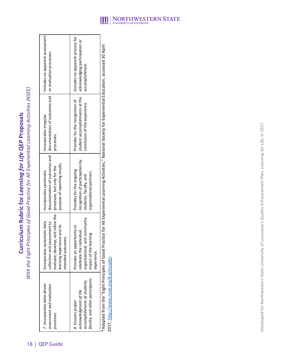| n Rubric for <i>Learning for Life</i> QEP Prope | <b>UU U V V</b><br>こうりょうしょう<br>$\frac{1}{2}$<br>٢<br>With the Eight Principles of Good Practice for All Experiential Learning |
|-------------------------------------------------|-------------------------------------------------------------------------------------------------------------------------------|
|                                                 |                                                                                                                               |
|                                                 |                                                                                                                               |

| 7. Incorporates data-driven<br>assessment and evaluation<br>processes.                                                                                         | evaluate, develop, and refine the   processes, but only for the<br>Incorporates systematic data<br>collection and assessment to<br>learning experience and its<br>intended outcomes. | purpose of reporting results.<br>Incorporates systematic                                                          | documentation of outcomes and   documentation of outcomes and   or evaluation processes.<br>Incorporates irregular<br>processes. | Includes no apparent assessment                                                       |
|----------------------------------------------------------------------------------------------------------------------------------------------------------------|--------------------------------------------------------------------------------------------------------------------------------------------------------------------------------------|-------------------------------------------------------------------------------------------------------------------|----------------------------------------------------------------------------------------------------------------------------------|---------------------------------------------------------------------------------------|
| faculty, and other participants.<br>accomplishments of students,<br>acknowledgment of the<br>8. Ensures proper                                                 | organizational, and community<br>Provides an opportunity to<br>celebrate the individual,<br>impact of the learning<br>experience.                                                    | recognition of participation by<br>Provides for the ongoing<br>organizational partners.<br>students, faculty, and | student accomplishments at the<br>Provides for the recognition of<br>conclusion of the experience.                               | Includes no apparent process for<br>acknowledging participation or<br>accomplishment. |
| *Adapted from the "Eight Principles of Good Practice for All Experiential Learning Activities." National Society for Experiential Education, accessed 30 April |                                                                                                                                                                                      |                                                                                                                   |                                                                                                                                  |                                                                                       |

\*Adapted from the "Eight Principles of Good Practice for All Experiential Learning Activities," National Society for Experiential Education, accessed 30 April 5. ە 2017, http://www.nsee.org/8-principles. 2017, http://www.nsee.org/8-principles. $\frac{1}{2}$ ייפֿ<br>בי  $\frac{1}{2}$ 공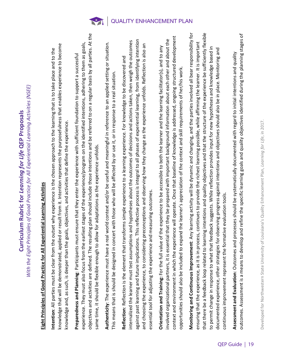## With the Eight Principles of Good Practice for All Experiential Learning Activities (NSEE) *With the Eight Principles of Good Practice for All Experiential Learning Activities (NSEE)* Curriculum Rubric for Learning for Life QEP Proposals **Curriculum Rubric for** *Learning for Life* **QEP Proposals**

# Eight Principles of Good Practice for All Experiential Learning Activities **Eight Principles of Good Practice for All Experiential Learning Activities**

knowledge that will be demonstrated, applied or result from it. Intention represents the purposefulness that enables experience to become knowledge that will be demonstrated, applied or result from it. Intention represents the purposefulness that enables experience to become Intention: All parties must be clear from the outset why experience is the chosen approach to the learning that is to take place and to the **Intention**: All parties must be clear from the outset why experience is the chosen approach to the learning that is to take place and to the knowledge and, as such, is deeper than the goals, objectives, and activities that define the experience. knowledge and, as such, is deeper than the goals, objectives, and activities that define the experience.

objectives and activities are defined. The resulting plan should include those intentions and be referred to on a regular basis by all parties. At the objectives and activities are defined. The resulting plan should include those intentions and be referred to on a regular basis by all parties. At the experience. They must also focus from the earliest stages of the experience/program on the identified intentions, adhering to them as goals, experience. They must also focus from the earliest stages of the experience/program on the identified intentions, adhering to them as goals, **Preparedness and Planning**: Participants must ensure that they enter the experience with sufficient foundation to support a successful Preparedness and Planning: Participants must ensure that they enter the experience with sufficient foundation to support a successful same time, it should be flexible enough to allow for adaptations as the experience unfolds. same time, it should be flexible enough to allow for adaptations as the experience unfolds.

**Authenticity**: The experience must have a real world context and/or be useful and meaningful in reference to an applied setting or situation. Authenticity: The experience must have a real world context and/or be useful and meaningful in reference to an applied setting or situation. This means that is should be designed in concert with those who will be affected by or use it, or in response to a real situation This means that is should be designed in concert with those who will be affected by or use it, or in response to a real situation.

against past learning and future implications. This reflective process is integral to all phases of experiential learning, from identifying intention internalized the learner must test assumptions and hypotheses about the outcomes of decisions and actions taken, then weigh the outcomes against past learning and future implications. This reflective process is integral to all phases of experiential learning, from identifying intention internalized the learner must test assumptions and hypotheses about the outcomes of decisions and actions taken, then weigh the outcomes and choosing the experience, to considering preconceptions and observing how they change as the experience unfolds. Reflection is also an and choosing the experience, to considering preconceptions and observing how they change as the experience unfolds. Reflection is also an **Reflection**: Reflection is the element that transforms simple experience to a learning experience. For knowledge to be discovered and Reflection: Reflection is the element that transforms simple experience to a learning experience. For knowledge to be discovered and essential tool for adjusting the experience and measuring outcomes. essential tool for adjusting the experience and measuring outcomes.

context and environment in which the experience will operate. Once that baseline of knowledge is addressed, ongoing structured development context and environment in which the experience will operate. Once that baseline of knowledge is addressed, ongoing structured development involved organizational partners, it is essential that they be prepared with important background information about each other and about the involved organizational partners, it is essential that they be prepared with important background information about each other and about the **Orientation and Training:** For the full value of the experience to be accessible to both the learner and the learning facilitator(s), and to any **Orientation and Training:** For the full value of the experience to be accessible to both the learner and the learning facilitator(s), and to any opportunities should also be included to expand the learner's appreciation of the context and skill requirements of her/his work. opportunities should also be included to expand the learner's appreciation of the context and skill requirements of her/his work.

**Monitoring and Continuous Improvement**: Any learning activity will be dynamic and changing, and the parties involved all bear responsibility for that there be a feedback loop related to learning intentions and quality objectives and that the structure of the experience be sufficiently flexible that there be a feedback loop related to learning intentions and quality objectives and that the structure of the experience be sufficiently flexible Monitoring and Continuous Improvement: Any learning activity will be dynamic and changing, and the parties involved all bear responsibility for ensuring that the experience, as it is in process, continues to provide the richest learning possible, while affirming the learner. It is important ensuring that the experience, as it is in process, continues to provide the richest learning possible, while affirming the learner. It is important to permit change in response to what that feedback suggests. While reflection provides input for new hypotheses and knowledge based in to permit change in response to what that feedback suggests. While reflection provides input for new hypotheses and knowledge based in documented experience, other strategies for observing progress against intentions and objectives should also be in place. Monitoring and documented experience, other strategies for observing progress against intentions and objectives should also be in place. Monitoring and continuous improvement represent the formative evaluation tools. continuous improvement represent the formative evaluation tools.

outcomes. Assessment is a means to develop and refine the specific learning goals and quality objectives identified during the planning stages of outcomes. Assessment is a means to develop and refine the specific learning goals and quality objectives identified during the planning stages of **Assessment and Evaluation**: Outcomes and processes should be systematically documented with regard to initial intentions and quality Assessment and Evaluation: Outcomes and processes should be systematically documented with regard to initial intentions and quality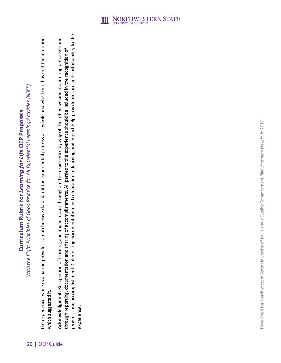With the Eight Principles of Good Practice for All Experiential Learning Activities (NSEE) *With the Eight Principles of Good Practice for All Experiential Learning Activities (NSEE)* Curriculum Rubric for Learning for Life QEP Proposals **Curriculum Rubric for** *Learning for Life* **QEP Proposals**

the experience, while evaluation provides comprehensive data about the experiential process as a whole and whether it has met the intentions the experience, while evaluation provides comprehensive data about the experiential process as a whole and whether it has met the intentions which suggested it. which suggested it.

progress and accomplishment. Culminating documentation and celebration of learning and impact help provide closure and sustainability to the progress and accomplishment. Culminating documentation and celebration of learning and impact help provide closure and sustainability to the Acknowledgment: Recognition of learning and impact occur throughout the experience by way of the reflective and monitoring processes and **Acknowledgment**: Recognition of learning and impact occur throughout the experience by way of the reflective and monitoring processes and through reporting, documentation and sharing of accomplishments. All parties to the experience should be included in the recognition of through reporting, documentation and sharing of accomplishments. All parties to the experience should be included in the recognition of experience. experience.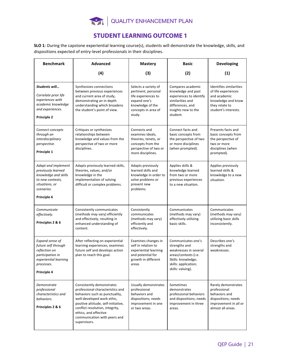

## **STUDENT LEARNING OUTCOME 1**

**SLO 1**: During the capstone experiential learning course(s), students will demonstrate the knowledge, skills, and dispositions expected of entry-level professionals in their disciplines.

| <b>Benchmark</b>                                                                                                                     | <b>Advanced</b>                                                                                                                                                                                                                                                                  | <b>Mastery</b>                                                                                                                          | <b>Basic</b>                                                                                                                                            | <b>Developing</b>                                                                                                              |
|--------------------------------------------------------------------------------------------------------------------------------------|----------------------------------------------------------------------------------------------------------------------------------------------------------------------------------------------------------------------------------------------------------------------------------|-----------------------------------------------------------------------------------------------------------------------------------------|---------------------------------------------------------------------------------------------------------------------------------------------------------|--------------------------------------------------------------------------------------------------------------------------------|
|                                                                                                                                      | (4)                                                                                                                                                                                                                                                                              | (3)                                                                                                                                     | (2)                                                                                                                                                     | (1)                                                                                                                            |
| Students will<br>Correlate prior life<br>experiences with<br>academic knowledge<br>and experiences.<br>Principle 2                   | Synthesizes connections<br>between previous experiences<br>and current area of study,<br>demonstrating an in depth<br>understanding which broadens<br>the student's point of view.                                                                                               | Selects a variety of<br>pertinent, personal<br>life experiences to<br>expand one's<br>knowledge of the<br>concepts in area of<br>study. | Compares academic<br>knowledge and past<br>experiences to identify<br>similarities and<br>differences, and<br>insights new to the<br>student.           | Identifies similarities<br>of life experiences<br>and academic<br>knowledge and know<br>they relate to<br>student's interests. |
| Connect concepts<br>through an<br>interdisciplinary<br>perspective.<br>Principle 1                                                   | Critiques or synthesizes<br>relationships between<br>knowledge and values from the<br>perspective of two or more<br>disciplines.                                                                                                                                                 | Connects and<br>examines ideals,<br>theories, tenets, or<br>concepts from the<br>perspective of two or<br>more disciplines.             | Connect facts and<br>basic concepts from<br>the perspective of two<br>or more disciplines<br>(when prompted).                                           | Presents facts and<br>basic concepts from<br>the perspective of<br>two or more<br>disciplines (when<br>prompted).              |
| Adapt and implement<br>previously learned<br>knowledge and skills<br>to new contexts,<br>situations, or<br>scenarios.<br>Principle 6 | Adapts previously learned skills,<br>theories, values, and/or<br>knowledge in the<br>implementation of solving<br>difficult or complex problems.                                                                                                                                 | Adapts previously<br>learned skills and<br>knowledge in order to<br>solve problems or<br>prevent new<br>problems.                       | Applies skills &<br>knowledge learned<br>from two or more<br>previous experiences<br>to a new situation.                                                | Applies previously<br>learned skills &<br>knowledge to a new<br>situation.                                                     |
| Communicate<br>effectively.<br>Principles 2 & 6                                                                                      | Consistently communicates<br>(methods may vary) efficiently<br>and effectively, resulting in<br>enhanced understanding of<br>content.                                                                                                                                            | Consistently<br>communicates<br>(methods may vary)<br>efficiently and<br>effectively.                                                   | Communicates<br>(methods may vary)<br>effectively utilizing<br>basic skills.                                                                            | Communicates<br>(methods may vary)<br>utilizing basic skills<br>inconsistently.                                                |
| Expand sense of<br>future self through<br>reflection on<br>participation in<br>experiential learning<br>processes.<br>Principle 4    | After reflecting on experiential<br>learning experiences, examines<br>future self and develops action<br>plan to reach this goal.                                                                                                                                                | Examines changes in<br>self in relation to<br>experiential learning<br>and potential for<br>growth in different<br>areas                | Communicates one's<br>strengths and<br>weaknesses in several<br>areas/contexts (i.e.<br>Skills: knowledge;<br>skills: application;<br>skills: valuing). | Describes one's<br>strengths and<br>weaknesses.                                                                                |
| Demonstrate<br>professional<br>characteristics and<br>behaviors.<br>Principles 2 & 6                                                 | Consistently demonstrates<br>professional characteristics and<br>behaviors such as punctuality,<br>well-developed work ethic,<br>positive attitude, self-initiative,<br>conflict resolution, integrity,<br>ethics, and effective<br>communication with peers and<br>supervisors. | Usually demonstrates<br>professional<br>behaviors and<br>dispositions; needs<br>improvement in one<br>or two areas.                     | Sometimes<br>demonstrates<br>professional behaviors<br>and dispositions; needs<br>improvement in three<br>areas.                                        | Rarely demonstrates<br>professional<br>behaviors and<br>dispositions; needs<br>improvement in all or<br>almost all areas.      |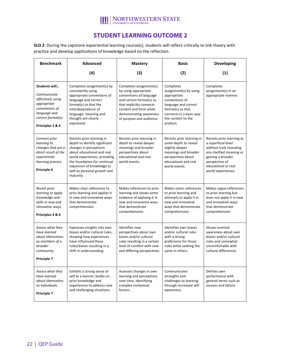

## **STUDENT LEARNING OUTCOME 2**

**SLO 2**: During the capstone experiential learning course(s), students will reflect critically to link theory with practice and develop applications of knowledge based on the reflection.

| <b>Benchmark</b>                                                                                                                             | <b>Advanced</b>                                                                                                                                                                                                                                              | <b>Mastery</b>                                                                                                                                                                                                      | <b>Basic</b>                                                                                                                                                                   | <b>Developing</b>                                                                                                                                                                            |
|----------------------------------------------------------------------------------------------------------------------------------------------|--------------------------------------------------------------------------------------------------------------------------------------------------------------------------------------------------------------------------------------------------------------|---------------------------------------------------------------------------------------------------------------------------------------------------------------------------------------------------------------------|--------------------------------------------------------------------------------------------------------------------------------------------------------------------------------|----------------------------------------------------------------------------------------------------------------------------------------------------------------------------------------------|
|                                                                                                                                              | (4)                                                                                                                                                                                                                                                          | (3)                                                                                                                                                                                                                 | (2)                                                                                                                                                                            | (1)                                                                                                                                                                                          |
| Students will<br>Communicate<br>effectively using<br>appropriate<br>conventions of<br>language and<br>correct format(s).<br>Principles 2 & 6 | Completes assignment(s) by<br>consistently using<br>appropriate conventions of<br>language and correct<br>format(s) so that the<br>interdependence of<br>language, meaning and<br>thought are clearly<br>expressed.                                          | Completes assignment(s)<br>by using appropriate<br>conventions of language<br>and correct format(s) so<br>that explicitly connects<br>content and form while<br>demonstrating awareness<br>of purpose and audience. | Completes<br>assignment(s) by using<br>appropriate<br>conventions of<br>language and correct<br>format(s) so that<br>connects in a basic way<br>the content to the<br>product. | Completes<br>assignment(s) in an<br>appropriate manner.                                                                                                                                      |
| Connect prior<br>learning to<br>changes that are a<br>direct result of the<br>experiential<br>learning process.<br>Principle 4               | Revisits prior learning in<br>depth to identify significant<br>changes in perceptions<br>about educational and real<br>world experiences, providing<br>the foundation for continual<br>expansion of knowledge as<br>well as personal growth and<br>maturity. | Revisits prior learning in<br>depth to reveal deeper<br>meanings and broader<br>perspectives about<br>educational and real<br>world events.                                                                         | Revisits prior learning in<br>some depth to reveal<br>slightly deeper<br>meanings and broader<br>perspectives about<br>educational and real<br>world events.                   | Revisits prior learning at<br>a superficial level<br>without truly revealing<br>any clarified meaning or<br>gaining a broader<br>perspective of<br>educational or real<br>world experiences. |
| Revisit prior<br>learning to apply<br>knowledge and<br>skills in new and<br>innovative ways.<br>Principles 4 & 6                             | Makes clear references to<br>prior learning and applies it<br>in new and innovative ways<br>that demonstrate<br>comprehension.                                                                                                                               | Makes references to prior<br>learning and shows some<br>evidence of applying it in<br>new and innovative ways<br>that demonstrate<br>comprehension.                                                                 | Makes some references<br>to prior learning and<br>attempts to apply it in<br>new and innovative<br>ways that demonstrate<br>comprehension.                                     | Makes vague references<br>to prior learning but<br>does not apply it in new<br>and innovative ways<br>that demonstrate<br>comprehension.                                                     |
| Assess what they<br>have learned<br>about themselves<br>as members of a<br>broader<br>community.<br>Principle 7                              | Expresses insights into own<br>biases and/or cultural rules,<br>showing how experiences<br>have influenced these<br>rules/biases resulting in a<br>shift in understanding.                                                                                   | Identifies new<br>perspectives about own<br>biases and/or cultural<br>rules resulting in a certain<br>level of comfort with new<br>and differing perspectives.                                                      | Identifies own biases<br>and/or cultural rules<br>with a strong<br>preference for those<br>rules while seeking the<br>same in others.                                          | Shows nominal<br>awareness about own<br>biases and/or cultural<br>rules and somewhat<br>uncomfortable with<br>cultural differences.                                                          |
| Assess what they<br>have learned<br>about themselves<br>as individuals.<br>Principle 7                                                       | Exhibits a strong sense of<br>self as a learner; builds on<br>prior knowledge and<br>experiences to address new<br>and challenging situations.                                                                                                               | Assesses changes in own<br>learning and perceptions<br>over time, identifying<br>complex contextual<br>factors.                                                                                                     | Communicates<br>strengths and<br>challenges to learning<br>through increased self-<br>awareness.                                                                               | Defines own<br>performance with<br>general terms such as<br>success and failure.                                                                                                             |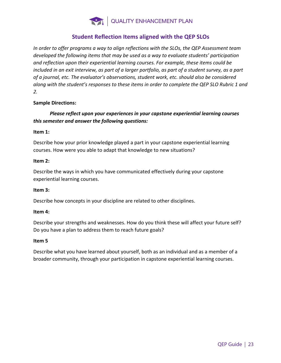

## **Student Reflection Items aligned with the QEP SLOs**

*In* order to offer programs a way to align reflections with the SLOs, the QEP Assessment team developed the following items that may be used as a way to evaluate students' participation and reflection upon their experiential learning courses. For example, these items could be *included* in an exit interview, as part of a larger portfolio, as part of a student survey, as a part of a journal, etc. The evaluator's observations, student work, etc. should also be considered *along* with the student's responses to these items in order to complete the QEP SLO Rubric 1 and *2.* 

## **Sample Directions:**

## *Please reflect upon your experiences in your capstone experiential learning courses* this semester and answer the following questions:

## **Item 1:**

Describe how your prior knowledge played a part in your capstone experiential learning courses. How were you able to adapt that knowledge to new situations?

## **Item 2:**

Describe the ways in which you have communicated effectively during your capstone experiential learning courses.

## **Item 3:**

Describe how concepts in your discipline are related to other disciplines.

## **Item 4:**

Describe your strengths and weaknesses. How do you think these will affect your future self? Do you have a plan to address them to reach future goals?

## **Item 5**

Describe what you have learned about yourself, both as an individual and as a member of a broader community, through your participation in capstone experiential learning courses.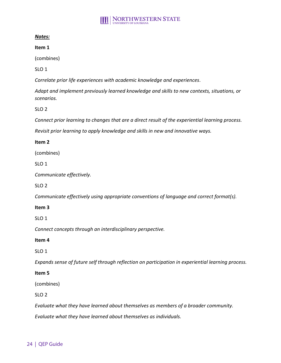

## *Notes:*

## **Item 1**

(combines)

SLO<sub>1</sub>

Correlate prior life experiences with academic knowledge and experiences.

Adapt and implement previously learned knowledge and skills to new contexts, situations, or *scenarios.*

SLO<sub>2</sub>

*Connect prior learning to changes that are a direct result of the experiential learning process.* 

*Revisit prior learning to apply knowledge and skills in new and innovative ways.* 

## **Item 2**

(combines)

SLO<sub>1</sub>

*Communicate effectively.*

SLO<sub>2</sub>

*Communicate effectively using appropriate conventions of language and correct format(s).* 

## **Item 3**

SLO<sub>1</sub>

*Connect concepts through an interdisciplinary perspective.* 

**Item 4**

SLO<sub>1</sub>

Expands sense of future self through reflection on participation in experiential learning process.

## **Item 5**

(combines)

SLO<sub>2</sub>

*Evaluate* what they have learned about themselves as members of a broader community.

Evaluate what they have learned about themselves as individuals.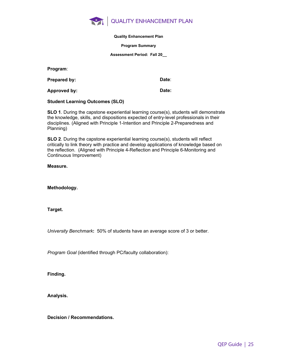

## **Quality Enhancement Plan**

**Program Summary** 

**Assessment Period: Fall 20\_\_** 

| Program:            |       |
|---------------------|-------|
| Prepared by:        | Date: |
| <b>Approved by:</b> | Date: |

**Student Learning Outcomes (SLO)**

**SLO 1**. During the capstone experiential learning course(s), students will demonstrate the knowledge, skills, and dispositions expected of entry-level professionals in their disciplines. (Aligned with Principle 1-Intention and Principle 2-Preparedness and Planning)

**SLO 2**. During the capstone experiential learning course(s), students will reflect critically to link theory with practice and develop applications of knowledge based on the reflection. (Aligned with Principle 4-Reflection and Principle 6-Monitoring and Continuous Improvement)

## **Measure.**

**Methodology.**

**Target.**

*University Benchmark***:** 50% of students have an average score of 3 or better.

*Program Goal* (identified through PC/faculty collaboration):

**Finding.**

**Analysis.**

**Decision / Recommendations.**